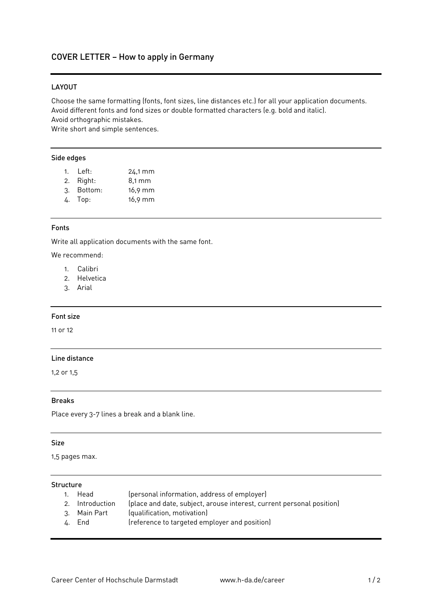## COVER LETTER – How to apply in Germany

## LAYOUT

Choose the same formatting (fonts, font sizes, line distances etc.) for all your application documents. Avoid different fonts and fond sizes or double formatted characters (e.g. bold and italic). Avoid orthographic mistakes.

Write short and simple sentences.

#### Side edges

| 1. $Left:$ | 24.1 mm          |
|------------|------------------|
| 2. Right:  | $8.1 \text{ mm}$ |
| 3. Bottom: | $16,9$ mm        |

4. Top: 16,9 mm

#### Fonts

Write all application documents with the same font.

We recommend:

- 1. Calibri
- 2. Helvetica
- 3. Arial

## Font size

11 or 12

#### Line distance

1,2 or 1,5

#### Breaks

Place every 3-7 lines a break and a blank line.

#### Size

1,5 pages max.

### Structure

- 1. Head (personal information, address of employer)
- 2. Introduction (place and date, subject, arouse interest, current personal position)
- (qualification, motivation)
- 4. End (reference to targeted employer and position)